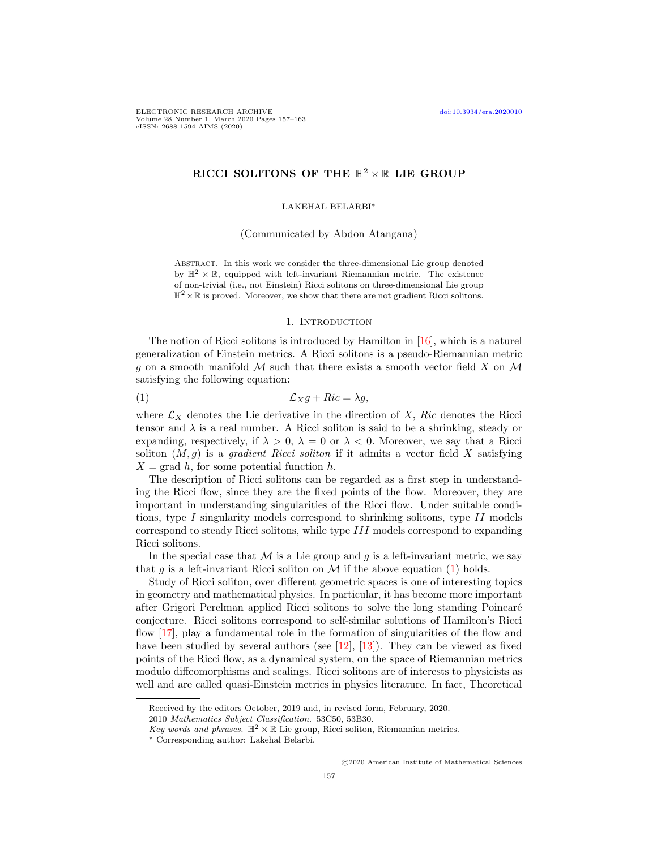# RICCI SOLITONS OF THE  $\mathbb{H}^2 \times \mathbb{R}$  LIE GROUP

## LAKEHAL BELARBI<sup>∗</sup>

(Communicated by Abdon Atangana)

Abstract. In this work we consider the three-dimensional Lie group denoted by  $\mathbb{H}^2 \times \mathbb{R}$ , equipped with left-invariant Riemannian metric. The existence of non-trivial (i.e., not Einstein) Ricci solitons on three-dimensional Lie group  $\mathbb{H}^2 \times \mathbb{R}$  is proved. Moreover, we show that there are not gradient Ricci solitons.

#### <span id="page-0-0"></span>1. Introduction

The notion of Ricci solitons is introduced by Hamilton in [\[16\]](#page-5-0), which is a naturel generalization of Einstein metrics. A Ricci solitons is a pseudo-Riemannian metric g on a smooth manifold  $M$  such that there exists a smooth vector field  $X$  on  $M$ satisfying the following equation:

$$
(1) \t\t\t\t\mathcal{L}_X g + Ric = \lambda g,
$$

where  $\mathcal{L}_X$  denotes the Lie derivative in the direction of X, Ric denotes the Ricci tensor and  $\lambda$  is a real number. A Ricci soliton is said to be a shrinking, steady or expanding, respectively, if  $\lambda > 0$ ,  $\lambda = 0$  or  $\lambda < 0$ . Moreover, we say that a Ricci soliton  $(M, g)$  is a *gradient Ricci soliton* if it admits a vector field X satisfying  $X = \text{grad } h$ , for some potential function h.

The description of Ricci solitons can be regarded as a first step in understanding the Ricci flow, since they are the fixed points of the flow. Moreover, they are important in understanding singularities of the Ricci flow. Under suitable conditions, type I singularity models correspond to shrinking solitons, type II models correspond to steady Ricci solitons, while type III models correspond to expanding Ricci solitons.

In the special case that  $M$  is a Lie group and g is a left-invariant metric, we say that g is a left-invariant Ricci soliton on  $\mathcal M$  if the above equation [\(1\)](#page-0-0) holds.

Study of Ricci soliton, over different geometric spaces is one of interesting topics in geometry and mathematical physics. In particular, it has become more important after Grigori Perelman applied Ricci solitons to solve the long standing Poincar´e conjecture. Ricci solitons correspond to self-similar solutions of Hamilton's Ricci flow [\[17\]](#page-5-1), play a fundamental role in the formation of singularities of the flow and have been studied by several authors (see [\[12\]](#page-5-2), [\[13\]](#page-5-3)). They can be viewed as fixed points of the Ricci flow, as a dynamical system, on the space of Riemannian metrics modulo diffeomorphisms and scalings. Ricci solitons are of interests to physicists as well and are called quasi-Einstein metrics in physics literature. In fact, Theoretical

Received by the editors October, 2019 and, in revised form, February, 2020.

<sup>2010</sup> Mathematics Subject Classification. 53C50, 53B30.

Key words and phrases.  $\mathbb{H}^2 \times \mathbb{R}$  Lie group, Ricci soliton, Riemannian metrics.

<sup>∗</sup> Corresponding author: Lakehal Belarbi.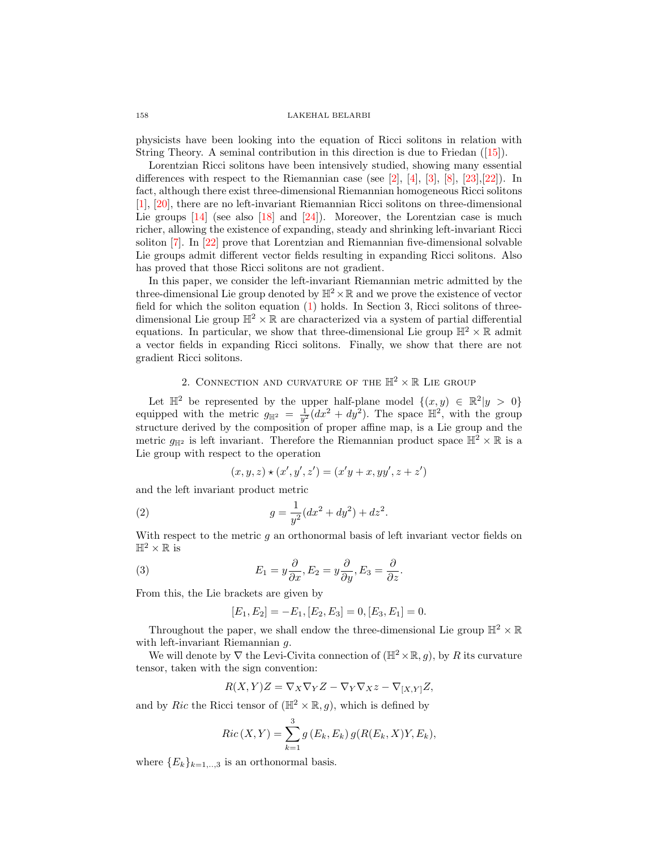### 158 LAKEHAL BELARBI

physicists have been looking into the equation of Ricci solitons in relation with String Theory. A seminal contribution in this direction is due to Friedan ([\[15\]](#page-5-4)).

Lorentzian Ricci solitons have been intensively studied, showing many essential differences with respect to the Riemannian case (see  $[2]$ ,  $[4]$ ,  $[3]$ ,  $[8]$ ,  $[23]$ ,  $[22]$ ). In fact, although there exist three-dimensional Riemannian homogeneous Ricci solitons [\[1\]](#page-5-10), [\[20\]](#page-5-11), there are no left-invariant Riemannian Ricci solitons on three-dimensional Lie groups  $[14]$  (see also  $[18]$  and  $[24]$ ). Moreover, the Lorentzian case is much richer, allowing the existence of expanding, steady and shrinking left-invariant Ricci soliton [\[7\]](#page-5-14). In [\[22\]](#page-5-9) prove that Lorentzian and Riemannian five-dimensional solvable Lie groups admit different vector fields resulting in expanding Ricci solitons. Also has proved that those Ricci solitons are not gradient.

In this paper, we consider the left-invariant Riemannian metric admitted by the three-dimensional Lie group denoted by  $\mathbb{H}^2 \times \mathbb{R}$  and we prove the existence of vector field for which the soliton equation [\(1\)](#page-0-0) holds. In Section 3, Ricci solitons of threedimensional Lie group  $\mathbb{H}^2 \times \mathbb{R}$  are characterized via a system of partial differential equations. In particular, we show that three-dimensional Lie group  $\mathbb{H}^2 \times \mathbb{R}$  admit a vector fields in expanding Ricci solitons. Finally, we show that there are not gradient Ricci solitons.

## 2. CONNECTION AND CURVATURE OF THE  $\mathbb{H}^2 \times \mathbb{R}$  LIE GROUP

Let  $\mathbb{H}^2$  be represented by the upper half-plane model  $\{(x, y) \in \mathbb{R}^2 | y > 0\}$ equipped with the metric  $g_{\mathbb{H}^2} = \frac{1}{y^2} (dx^2 + dy^2)$ . The space  $\mathbb{H}^2$ , with the group structure derived by the composition of proper affine map, is a Lie group and the metric  $g_{\mathbb{H}^2}$  is left invariant. Therefore the Riemannian product space  $\mathbb{H}^2 \times \mathbb{R}$  is a Lie group with respect to the operation

<span id="page-1-1"></span>
$$
(x, y, z) \star (x', y', z') = (x'y + x, yy', z + z')
$$

and the left invariant product metric

(2) 
$$
g = \frac{1}{y^2} (dx^2 + dy^2) + dz^2.
$$

With respect to the metric q an orthonormal basis of left invariant vector fields on  $\mathbb{H}^2 \times \mathbb{R}$  is

(3) 
$$
E_1 = y \frac{\partial}{\partial x}, E_2 = y \frac{\partial}{\partial y}, E_3 = \frac{\partial}{\partial z}.
$$

From this, the Lie brackets are given by

<span id="page-1-0"></span>
$$
[E_1, E_2] = -E_1, [E_2, E_3] = 0, [E_3, E_1] = 0.
$$

Throughout the paper, we shall endow the three-dimensional Lie group  $\mathbb{H}^2 \times \mathbb{R}$ with left-invariant Riemannian g.

We will denote by  $\nabla$  the Levi-Civita connection of  $(\mathbb{H}^2 \times \mathbb{R}, q)$ , by R its curvature tensor, taken with the sign convention:

$$
R(X,Y)Z = \nabla_X \nabla_Y Z - \nabla_Y \nabla_X z - \nabla_{[X,Y]} Z,
$$

and by Ric the Ricci tensor of  $(\mathbb{H}^2 \times \mathbb{R}, g)$ , which is defined by

$$
Ric(X, Y) = \sum_{k=1}^{3} g(E_k, E_k) g(R(E_k, X)Y, E_k),
$$

where  ${E_k}_{k=1,\dots,3}$  is an orthonormal basis.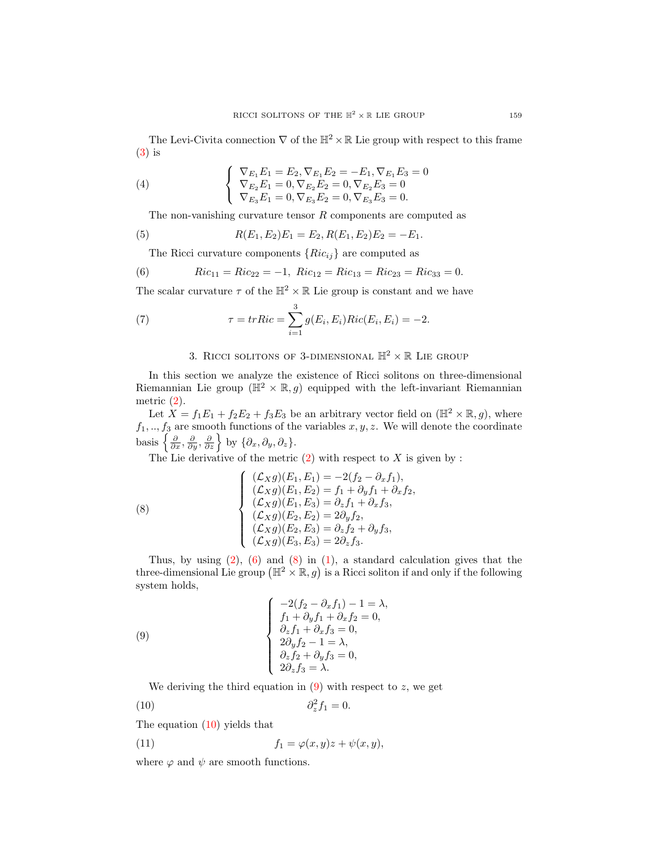The Levi-Civita connection  $\nabla$  of the  $\mathbb{H}^2 \times \mathbb{R}$  Lie group with respect to this frame [\(3\)](#page-1-0) is

(4) 
$$
\begin{cases} \nabla_{E_1} E_1 = E_2, \nabla_{E_1} E_2 = -E_1, \nabla_{E_1} E_3 = 0 \\ \nabla_{E_2} E_1 = 0, \nabla_{E_2} E_2 = 0, \nabla_{E_2} E_3 = 0 \\ \nabla_{E_3} E_1 = 0, \nabla_{E_3} E_2 = 0, \nabla_{E_3} E_3 = 0. \n\end{cases}
$$

The non-vanishing curvature tensor  $R$  components are computed as

(5) 
$$
R(E_1, E_2)E_1 = E_2, R(E_1, E_2)E_2 = -E_1.
$$

<span id="page-2-0"></span>The Ricci curvature components  ${Ric_{ij}}$  are computed as

(6) 
$$
Ric_{11} = Ric_{22} = -1
$$
,  $Ric_{12} = Ric_{13} = Ric_{23} = Ric_{33} = 0$ .

The scalar curvature  $\tau$  of the  $\mathbb{H}^2 \times \mathbb{R}$  Lie group is constant and we have

(7) 
$$
\tau = trRic = \sum_{i=1}^{3} g(E_i, E_i) Ric(E_i, E_i) = -2.
$$

# 3. RICCI SOLITONS OF 3-DIMENSIONAL  $\mathbb{H}^2 \times \mathbb{R}$  LIE GROUP

In this section we analyze the existence of Ricci solitons on three-dimensional Riemannian Lie group ( $\mathbb{H}^2 \times \mathbb{R}, g$ ) equipped with the left-invariant Riemannian metric [\(2\)](#page-1-1).

Let  $X = f_1E_1 + f_2E_2 + f_3E_3$  be an arbitrary vector field on  $(\mathbb{H}^2 \times \mathbb{R}, g)$ , where  $f_1, ..., f_3$  are smooth functions of the variables  $x, y, z$ . We will denote the coordinate basis  $\left\{\frac{\partial}{\partial x}, \frac{\partial}{\partial y}, \frac{\partial}{\partial z}\right\}$  by  $\{\partial_x, \partial_y, \partial_z\}.$ 

<span id="page-2-1"></span>The Lie derivative of the metric  $(2)$  with respect to X is given by :

(8)  
\n
$$
\begin{cases}\n(\mathcal{L}_X g)(E_1, E_1) = -2(f_2 - \partial_x f_1), \\
(\mathcal{L}_X g)(E_1, E_2) = f_1 + \partial_y f_1 + \partial_x f_2, \\
(\mathcal{L}_X g)(E_1, E_3) = \partial_z f_1 + \partial_x f_3, \\
(\mathcal{L}_X g)(E_2, E_2) = 2\partial_y f_2, \\
(\mathcal{L}_X g)(E_2, E_3) = \partial_z f_2 + \partial_y f_3, \\
(\mathcal{L}_X g)(E_3, E_3) = 2\partial_z f_3.\n\end{cases}
$$

Thus, by using  $(2)$ ,  $(6)$  and  $(8)$  in  $(1)$ , a standard calculation gives that the three-dimensional Lie group  $(\mathbb{H}^2 \times \mathbb{R}, g)$  is a Ricci soliton if and only if the following system holds,

(9)  
\n
$$
\begin{cases}\n-2(f_2 - \partial_x f_1) - 1 = \lambda, \\
f_1 + \partial_y f_1 + \partial_x f_2 = 0, \\
\partial_z f_1 + \partial_x f_3 = 0, \\
2\partial_y f_2 - 1 = \lambda, \\
\partial_z f_2 + \partial_y f_3 = 0, \\
2\partial_z f_3 = \lambda.\n\end{cases}
$$

We deriving the third equation in  $(9)$  with respect to z, we get

<span id="page-2-3"></span><span id="page-2-2"></span>
$$
\partial_z^2 f_1 = 0.
$$

The equation [\(10\)](#page-2-3) yields that

 $(10)$ 

(11) 
$$
f_1 = \varphi(x, y)z + \psi(x, y),
$$

where  $\varphi$  and  $\psi$  are smooth functions.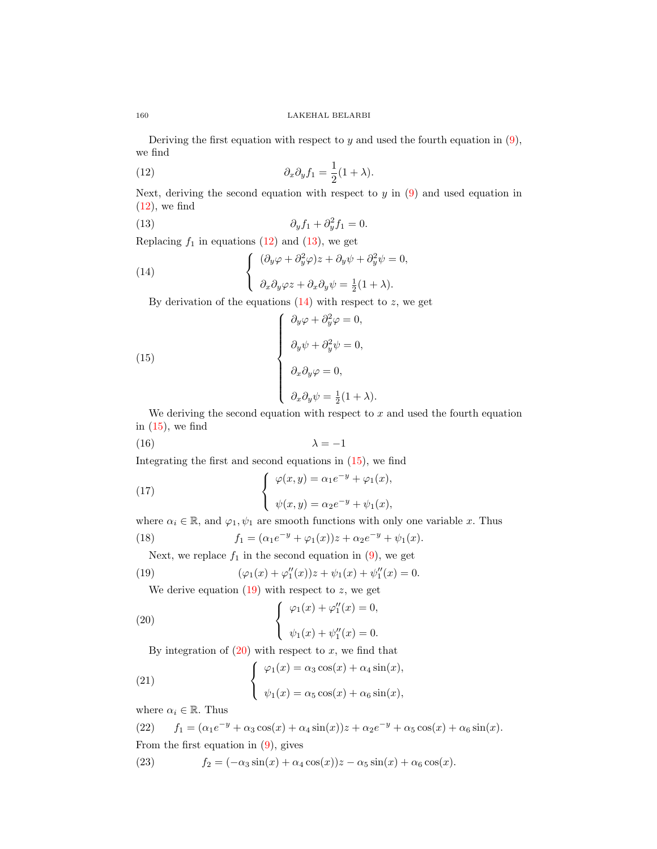Deriving the first equation with respect to  $y$  and used the fourth equation in  $(9)$ , we find

<span id="page-3-0"></span>(12) 
$$
\partial_x \partial_y f_1 = \frac{1}{2} (1 + \lambda).
$$

Next, deriving the second equation with respect to  $y$  in  $(9)$  and used equation in  $(12)$ , we find

<span id="page-3-1"></span>(13) 
$$
\partial_y f_1 + \partial_y^2 f_1 = 0.
$$

Replacing  $f_1$  in equations [\(12\)](#page-3-0) and [\(13\)](#page-3-1), we get

(14) 
$$
\begin{cases} (\partial_y \varphi + \partial_y^2 \varphi) z + \partial_y \psi + \partial_y^2 \psi = 0, \\ \partial_x \partial_y \varphi z + \partial_x \partial_y \psi = \frac{1}{2} (1 + \lambda). \end{cases}
$$

<span id="page-3-3"></span><span id="page-3-2"></span>By derivation of the equations  $(14)$  with respect to z, we get

(15)  

$$
\begin{cases}\n\partial_y \varphi + \partial_y^2 \varphi = 0, \\
\partial_y \psi + \partial_y^2 \psi = 0, \\
\partial_x \partial_y \varphi = 0, \\
\partial_x \partial_y \psi = \frac{1}{2} (1 + \lambda).\n\end{cases}
$$

We deriving the second equation with respect to  $x$  and used the fourth equation in  $(15)$ , we find

$$
\lambda = -1
$$

Integrating the first and second equations in [\(15\)](#page-3-3), we find

(17) 
$$
\begin{cases} \varphi(x,y) = \alpha_1 e^{-y} + \varphi_1(x), \\ \psi(x,y) = \alpha_2 e^{-y} + \psi_1(x), \end{cases}
$$

where  $\alpha_i \in \mathbb{R}$ , and  $\varphi_1, \psi_1$  are smooth functions with only one variable x. Thus

(18) 
$$
f_1 = (\alpha_1 e^{-y} + \varphi_1(x))z + \alpha_2 e^{-y} + \psi_1(x).
$$

<span id="page-3-4"></span>Next, we replace  $f_1$  in the second equation in [\(9\)](#page-2-2), we get

(19) 
$$
(\varphi_1(x) + \varphi_1''(x))z + \psi_1(x) + \psi_1''(x) = 0.
$$

<span id="page-3-5"></span>We derive equation  $(19)$  with respect to z, we get

(20) 
$$
\begin{cases} \varphi_1(x) + \varphi_1''(x) = 0, \\ \psi_1(x) + \psi_1''(x) = 0. \end{cases}
$$

By integration of  $(20)$  with respect to x, we find that

(21) 
$$
\begin{cases} \varphi_1(x) = \alpha_3 \cos(x) + \alpha_4 \sin(x), \\ \psi_1(x) = \alpha_5 \cos(x) + \alpha_6 \sin(x), \end{cases}
$$

where  $\alpha_i \in \mathbb{R}$ . Thus

(22)  $f_1 = (\alpha_1 e^{-y} + \alpha_3 \cos(x) + \alpha_4 \sin(x))z + \alpha_2 e^{-y} + \alpha_5 \cos(x) + \alpha_6 \sin(x).$ From the first equation in  $(9)$ , gives

(23)  $f_2 = (-\alpha_3 \sin(x) + \alpha_4 \cos(x))z - \alpha_5 \sin(x) + \alpha_6 \cos(x).$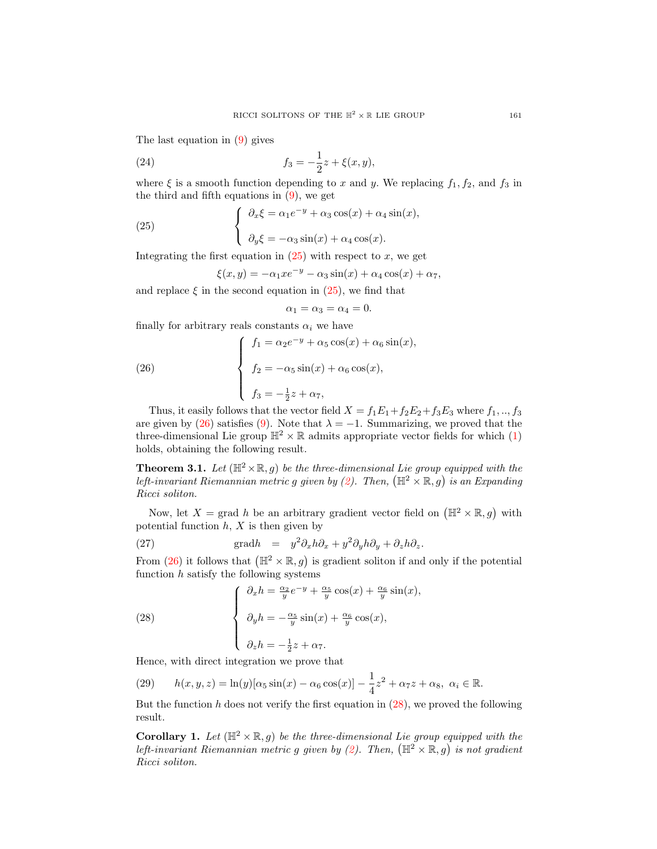The last equation in [\(9\)](#page-2-2) gives

(24) 
$$
f_3 = -\frac{1}{2}z + \xi(x, y),
$$

where  $\xi$  is a smooth function depending to x and y. We replacing  $f_1, f_2$ , and  $f_3$  in the third and fifth equations in  $(9)$ , we get

(25) 
$$
\begin{cases} \n\partial_x \xi = \alpha_1 e^{-y} + \alpha_3 \cos(x) + \alpha_4 \sin(x), \\ \n\partial_y \xi = -\alpha_3 \sin(x) + \alpha_4 \cos(x). \n\end{cases}
$$

Integrating the first equation in  $(25)$  with respect to x, we get

<span id="page-4-0"></span>
$$
\xi(x,y) = -\alpha_1 x e^{-y} - \alpha_3 \sin(x) + \alpha_4 \cos(x) + \alpha_7,
$$

and replace  $\xi$  in the second equation in [\(25\)](#page-4-0), we find that

<span id="page-4-1"></span>
$$
\alpha_1 = \alpha_3 = \alpha_4 = 0.
$$

finally for arbitrary reals constants  $\alpha_i$  we have

(26) 
$$
\begin{cases} f_1 = \alpha_2 e^{-y} + \alpha_5 \cos(x) + \alpha_6 \sin(x), \\ f_2 = -\alpha_5 \sin(x) + \alpha_6 \cos(x), \\ f_3 = -\frac{1}{2} z + \alpha_7, \end{cases}
$$

Thus, it easily follows that the vector field  $X = f_1E_1+f_2E_2+f_3E_3$  where  $f_1, ..., f_3$ are given by [\(26\)](#page-4-1) satisfies [\(9\)](#page-2-2). Note that  $\lambda = -1$ . Summarizing, we proved that the three-dimensional Lie group  $\mathbb{H}^2 \times \mathbb{R}$  admits appropriate vector fields for which [\(1\)](#page-0-0) holds, obtaining the following result.

**Theorem 3.1.** Let  $(\mathbb{H}^2 \times \mathbb{R}, g)$  be the three-dimensional Lie group equipped with the left-invariant Riemannian metric g given by [\(2\)](#page-1-1). Then,  $(\mathbb{H}^2 \times \mathbb{R}, g)$  is an Expanding Ricci soliton.

Now, let  $X = \text{grad } h$  be an arbitrary gradient vector field on  $(\mathbb{H}^2 \times \mathbb{R}, g)$  with potential function  $h, X$  is then given by

(27) 
$$
\text{grad} h = y^2 \partial_x h \partial_x + y^2 \partial_y h \partial_y + \partial_z h \partial_z.
$$

From [\(26\)](#page-4-1) it follows that  $(\mathbb{H}^2 \times \mathbb{R}, g)$  is gradient soliton if and only if the potential function  $h$  satisfy the following systems

<span id="page-4-2"></span>(28) 
$$
\begin{cases} \n\partial_x h = \frac{\alpha_2}{y} e^{-y} + \frac{\alpha_5}{y} \cos(x) + \frac{\alpha_6}{y} \sin(x), \\ \n\partial_y h = -\frac{\alpha_5}{y} \sin(x) + \frac{\alpha_6}{y} \cos(x), \\ \n\partial_z h = -\frac{1}{2} z + \alpha_7. \n\end{cases}
$$

Hence, with direct integration we prove that

(29) 
$$
h(x, y, z) = \ln(y)[\alpha_5 \sin(x) - \alpha_6 \cos(x)] - \frac{1}{4}z^2 + \alpha_7 z + \alpha_8, \ \alpha_i \in \mathbb{R}.
$$

But the function h does not verify the first equation in  $(28)$ , we proved the following result.

**Corollary 1.** Let  $(\mathbb{H}^2 \times \mathbb{R}, g)$  be the three-dimensional Lie group equipped with the left-invariant Riemannian metric g given by [\(2\)](#page-1-1). Then,  $(\mathbb{H}^2 \times \mathbb{R}, g)$  is not gradient Ricci soliton.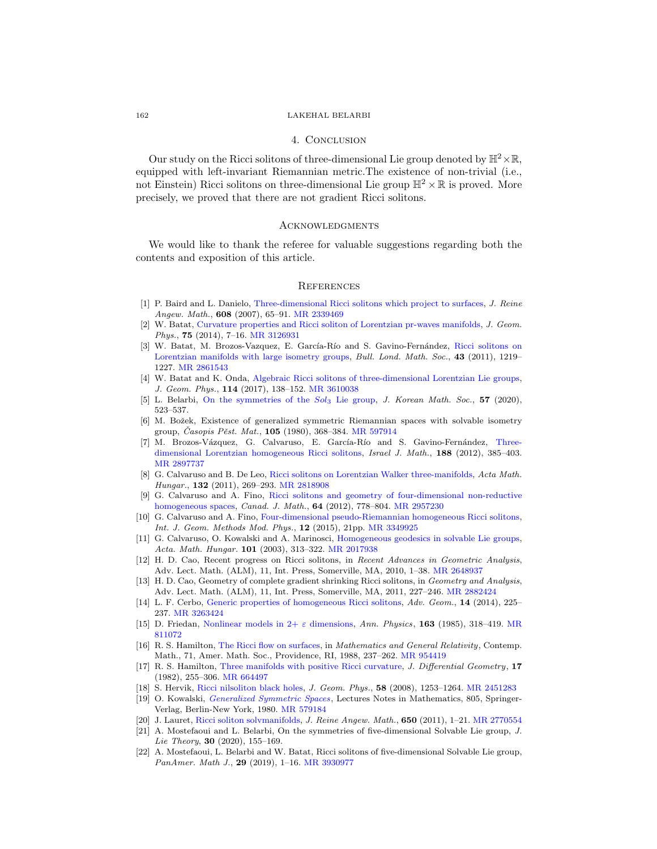### 162 LAKEHAL BELARBI

## 4. Conclusion

Our study on the Ricci solitons of three-dimensional Lie group denoted by  $\mathbb{H}^2 \times \mathbb{R}$ , equipped with left-invariant Riemannian metric.The existence of non-trivial (i.e., not Einstein) Ricci solitons on three-dimensional Lie group  $\mathbb{H}^2 \times \mathbb{R}$  is proved. More precisely, we proved that there are not gradient Ricci solitons.

#### **ACKNOWLEDGMENTS**

We would like to thank the referee for valuable suggestions regarding both the contents and exposition of this article.

### **REFERENCES**

- <span id="page-5-10"></span>[1] P. Baird and L. Danielo, [Three-dimensional Ricci solitons which project to surfaces,](http://dx.doi.org/10.1515/CRELLE.2007.053) J. Reine Angew. Math., 608 (2007), 65–91. [MR 2339469](http://www.ams.org/mathscinet-getitem?mr=2339469&return=pdf)
- <span id="page-5-5"></span>[2] W. Batat, [Curvature properties and Ricci soliton of Lorentzian pr-waves manifolds,](http://dx.doi.org/10.1016/j.geomphys.2013.08.014) J. Geom. Phys., 75 (2014), 7-16. [MR 3126931](http://www.ams.org/mathscinet-getitem?mr=3126931&return=pdf)
- <span id="page-5-7"></span>[3] W. Batat, M. Brozos-Vazquez, E. García-Río and S. Gavino-Fernández, [Ricci solitons on](http://dx.doi.org/10.1112/blms/bdr057) [Lorentzian manifolds with large isometry groups,](http://dx.doi.org/10.1112/blms/bdr057) Bull. Lond. Math. Soc., 43 (2011), 1219– 1227. [MR 2861543](http://www.ams.org/mathscinet-getitem?mr=2861543&return=pdf)
- <span id="page-5-6"></span>[4] W. Batat and K. Onda, [Algebraic Ricci solitons of three-dimensional Lorentzian Lie groups,](http://dx.doi.org/10.1016/j.geomphys.2016.11.018) J. Geom. Phys., 114 (2017), 138–152. [MR 3610038](http://www.ams.org/mathscinet-getitem?mr=3610038&return=pdf)
- [5] L. Belarbi, [On the symmetries of the](http://dx.doi.org/10.4134/JKMS.j190198) Sol<sub>3</sub> Lie group, J. Korean Math. Soc., 57 (2020), 523–537.
- [6] M. Božek, Existence of generalized symmetric Riemannian spaces with solvable isometry group, Časopis Pěst. Mat., 105 (1980), 368–384. [MR 597914](http://www.ams.org/mathscinet-getitem?mr=597914&return=pdf)
- <span id="page-5-14"></span>[7] M. Brozos-Vázquez, G. Calvaruso, E. García-Río and S. Gavino-Fernández, [Three](http://dx.doi.org/10.1007/s11856-011-0124-3)[dimensional Lorentzian homogeneous Ricci solitons,](http://dx.doi.org/10.1007/s11856-011-0124-3) Israel J. Math., 188 (2012), 385–403. [MR 2897737](http://www.ams.org/mathscinet-getitem?mr=2897737&return=pdf)
- <span id="page-5-8"></span>[8] G. Calvaruso and B. De Leo, [Ricci solitons on Lorentzian Walker three-manifolds,](http://dx.doi.org/10.1007/s10474-010-0049-z) Acta Math. Hungar., 132 (2011), 269–293. [MR 2818908](http://www.ams.org/mathscinet-getitem?mr=2818908&return=pdf)
- [9] G. Calvaruso and A. Fino, [Ricci solitons and geometry of four-dimensional non-reductive](http://dx.doi.org/10.4153/CJM-2011-091-1) [homogeneous spaces,](http://dx.doi.org/10.4153/CJM-2011-091-1) Canad. J. Math., 64 (2012), 778–804. [MR 2957230](http://www.ams.org/mathscinet-getitem?mr=2957230&return=pdf)
- [10] G. Calvaruso and A. Fino, [Four-dimensional pseudo-Riemannian homogeneous Ricci solitons,](http://dx.doi.org/10.1142/S0219887815500565) Int. J. Geom. Methods Mod. Phys., 12 (2015), 21pp. [MR 3349925](http://www.ams.org/mathscinet-getitem?mr=3349925&return=pdf)
- [11] G. Calvaruso, O. Kowalski and A. Marinosci, [Homogeneous geodesics in solvable Lie groups,](http://dx.doi.org/10.1023/B:AMHU.0000004942.87374.0e) Acta. Math. Hungar. 101 (2003), 313–322. [MR 2017938](http://www.ams.org/mathscinet-getitem?mr=2017938&return=pdf)
- <span id="page-5-2"></span>[12] H. D. Cao, Recent progress on Ricci solitons, in Recent Advances in Geometric Analysis, Adv. Lect. Math. (ALM), 11, Int. Press, Somerville, MA, 2010, 1–38. [MR 2648937](http://www.ams.org/mathscinet-getitem?mr=2648937&return=pdf)
- <span id="page-5-3"></span>[13] H. D. Cao, Geometry of complete gradient shrinking Ricci solitons, in Geometry and Analysis, Adv. Lect. Math. (ALM), 11, Int. Press, Somerville, MA, 2011, 227–246. [MR 2882424](http://www.ams.org/mathscinet-getitem?mr=2882424&return=pdf)
- <span id="page-5-12"></span>[14] L. F. Cerbo, [Generic properties of homogeneous Ricci solitons,](http://dx.doi.org/10.1515/advgeom-2013-0031) Adv. Geom., 14 (2014), 225– 237. [MR 3263424](http://www.ams.org/mathscinet-getitem?mr=3263424&return=pdf)
- <span id="page-5-4"></span>[15] D. Friedan, Nonlinear models in  $2+\varepsilon$  dimensions, Ann. Physics, 163 (1985), 318–419. [MR](http://www.ams.org/mathscinet-getitem?mr=811072&return=pdf) [811072](http://www.ams.org/mathscinet-getitem?mr=811072&return=pdf)
- <span id="page-5-0"></span>[16] R. S. Hamilton, [The Ricci flow on surfaces,](http://dx.doi.org/10.1090/conm/071/954419) in Mathematics and General Relativity, Contemp. Math., 71, Amer. Math. Soc., Providence, RI, 1988, 237–262. [MR 954419](http://www.ams.org/mathscinet-getitem?mr=954419&return=pdf)
- <span id="page-5-1"></span>[17] R. S. Hamilton, [Three manifolds with positive Ricci curvature,](http://dx.doi.org/10.4310/jdg/1214436922) J. Differential Geometry, 17 (1982), 255–306. [MR 664497](http://www.ams.org/mathscinet-getitem?mr=664497&return=pdf)
- <span id="page-5-13"></span>[18] S. Hervik, [Ricci nilsoliton black holes,](http://dx.doi.org/10.1016/j.geomphys.2008.05.001) J. Geom. Phys., 58 (2008), 1253–1264. [MR 2451283](http://www.ams.org/mathscinet-getitem?mr=2451283&return=pdf)
- [19] O. Kowalski, [Generalized Symmetric Spaces](http://dx.doi.org/10.1007/BFb0103324), Lectures Notes in Mathematics, 805, Springer-Verlag, Berlin-New York, 1980. [MR 579184](http://www.ams.org/mathscinet-getitem?mr=579184&return=pdf)
- <span id="page-5-11"></span>[20] J. Lauret, [Ricci soliton solvmanifolds,](http://dx.doi.org/10.1515/CRELLE.2011.001) J. Reine Angew. Math., 650 (2011), 1–21. [MR 2770554](http://www.ams.org/mathscinet-getitem?mr=2770554&return=pdf)
- [21] A. Mostefaoui and L. Belarbi, On the symmetries of five-dimensional Solvable Lie group, J. Lie Theory, 30  $(2020)$ , 155-169.
- <span id="page-5-9"></span>[22] A. Mostefaoui, L. Belarbi and W. Batat, Ricci solitons of five-dimensional Solvable Lie group, PanAmer. Math J., 29 (2019), 1-16. [MR 3930977](http://www.ams.org/mathscinet-getitem?mr=3930977&return=pdf)